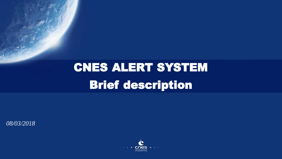## CNES ALERT SYSTEM Brief description

*08/03/2018*

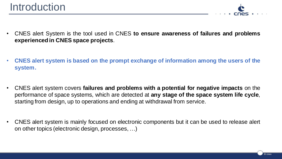

- CNES alert System is the tool used in CNES **to ensure awareness of failures and problems experienced in CNES space projects**.
- **CNES alert system is based on the prompt exchange of information among the users of the system.**
- CNES alert system covers **failures and problems with a potential for negative impacts** on the performance of space systems, which are detected at **any stage of the space system life cycle**, starting from design, up to operations and ending at withdrawal from service.
- CNES alert system is mainly focused on electronic components but it can be used to release alert on other topics (electronic design, processes, …)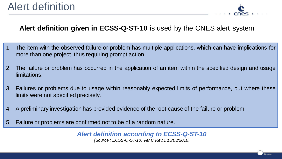

## **Alert definition given in ECSS-Q-ST-10** is used by the CNES alert system

- 1. The item with the observed failure or problem has multiple applications, which can have implications for more than one project, thus requiring prompt action.
- 2. The failure or problem has occurred in the application of an item within the specified design and usage limitations.
- 3. Failures or problems due to usage within reasonably expected limits of performance, but where these limits were not specified precisely.
- 4. A preliminary investigation has provided evidence of the root cause of the failure or problem.
- 5. Failure or problems are confirmed not to be of a random nature.

*Alert definition according to ECSS-Q-ST-10 (Source : ECSS-Q-ST-10, Ver.C Rev.1 15/03/2016)*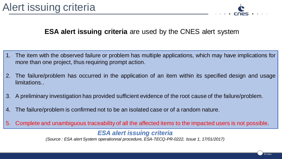

## **ESA alert issuing criteria** are used by the CNES alert system

- 1. The item with the observed failure or problem has multiple applications, which may have implications for more than one project, thus requiring prompt action.
- 2. The failure/problem has occurred in the application of an item within its specified design and usage limitations..
- 3. A preliminary investigation has provided sufficient evidence of the root cause of the failure/problem.
- 4. The failure/problem is confirmed not to be an isolated case or of a random nature.
- 5. Complete and unambiguous traceability of all the affected items to the impacted users is not possible.

## *ESA alert issuing criteria*

*(Source : ESA alert System operationnal procedure, ESA-TECQ-PR-0222, Issue 1, 17/01/2017)*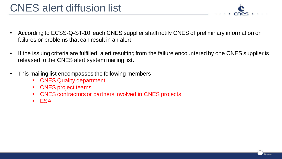- According to ECSS-Q-ST-10, each CNES supplier shall notify CNES of preliminary information on failures or problems that can result in an alert.
- If the issuing criteria are fulfilled, alert resulting from the failure encountered by one CNES supplier is released to the CNES alert system mailing list.
- This mailing list encompasses the following members :
	- CNES Quality department
	- CNES project teams
	- CNES contractors or partners involved in CNES projects
	- ESA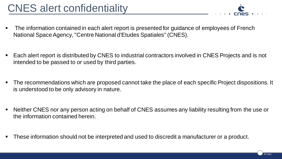- The information contained in each alert report is presented for guidance of employees of French National Space Agency, "Centre National d'Etudes Spatiales" (CNES).
- Each alert report is distributed by CNES to industrial contractors involved in CNES Projects and is not intended to be passed to or used by third parties.
- The recommendations which are proposed cannot take the place of each specific Project dispositions. It is understood to be only advisory in nature.
- Neither CNES nor any person acting on behalf of CNES assumes any liability resulting from the use or the information contained herein.
- These information should not be interpreted and used to discredit a manufacturer or a product.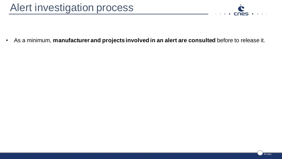

• As a minimum, **manufacturer and projects involved in an alert are consulted** before to release it.